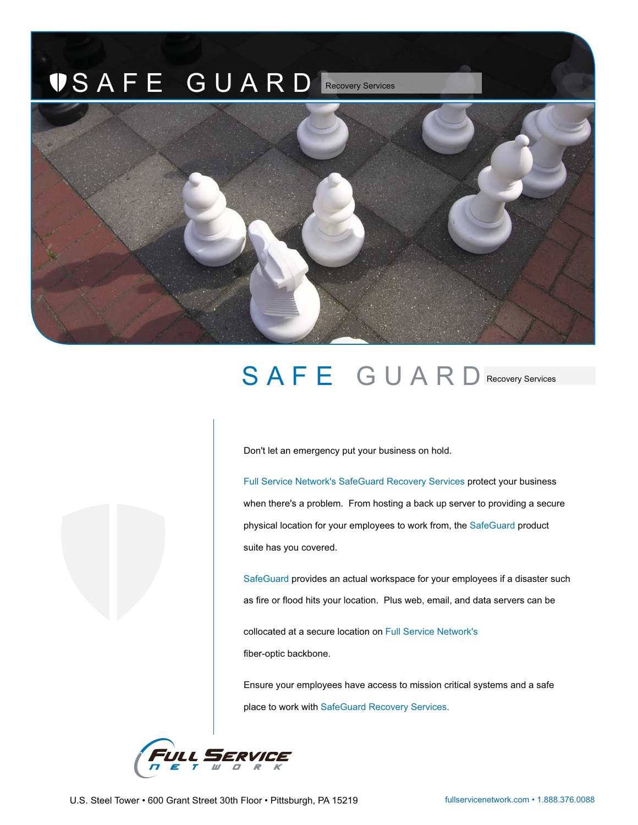## SAFE GUARD Recovery Services



## SAFE GUARD Recovery Services

Don't let an emergency put your business on hold.

Full Service Network's SafeGuard Recovery Services protect your business when there's a problem. From hosting a back up server to providing a secure physical location for your employees to work from, the SafeGuard product suite has you covered.

SafeGuard provides an actual workspace for your employees if a disaster such as fire or flood hits your location. Plus web, email, and data servers can be

collocated at a secure location on Full Service Network's fiber-optic backbone.

Ensure your employees have access to mission critical systems and a safe place to work with SafeGuard Recovery Services.